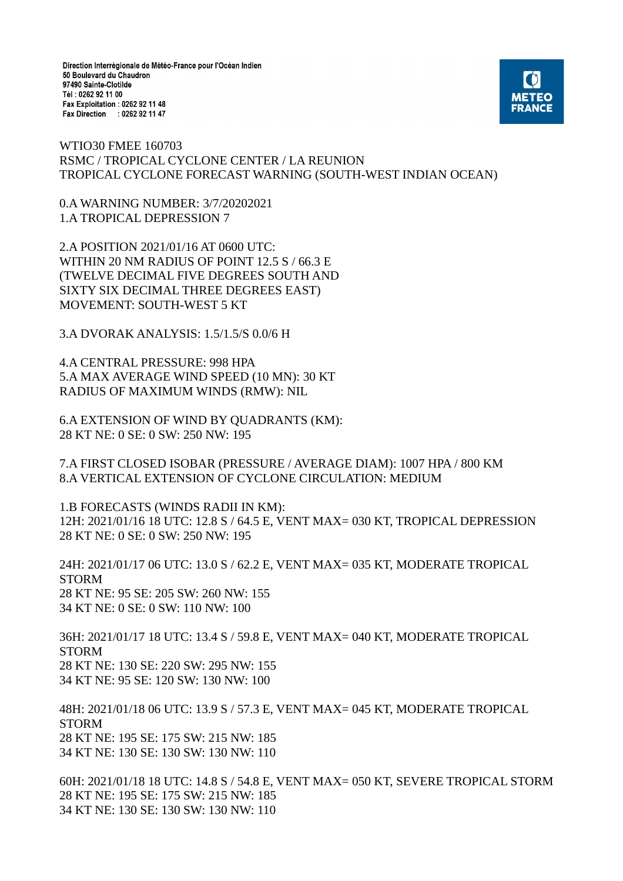Direction Interrégionale de Météo-France pour l'Océan Indien 50 Boulevard du Chaudron 97490 Sainte-Clotilde Tél: 0262 92 11 00 Fax Exploitation : 0262 92 11 48 Fax Direction : 0262 92 11 47



WTIO30 FMEE 160703 RSMC / TROPICAL CYCLONE CENTER / LA REUNION TROPICAL CYCLONE FORECAST WARNING (SOUTH-WEST INDIAN OCEAN)

0.A WARNING NUMBER: 3/7/20202021 1.A TROPICAL DEPRESSION 7

2.A POSITION 2021/01/16 AT 0600 UTC: WITHIN 20 NM RADIUS OF POINT 12.5 S / 66.3 E (TWELVE DECIMAL FIVE DEGREES SOUTH AND SIXTY SIX DECIMAL THREE DEGREES EAST) MOVEMENT: SOUTH-WEST 5 KT

3.A DVORAK ANALYSIS: 1.5/1.5/S 0.0/6 H

4.A CENTRAL PRESSURE: 998 HPA 5.A MAX AVERAGE WIND SPEED (10 MN): 30 KT RADIUS OF MAXIMUM WINDS (RMW): NIL

6.A EXTENSION OF WIND BY QUADRANTS (KM): 28 KT NE: 0 SE: 0 SW: 250 NW: 195

7.A FIRST CLOSED ISOBAR (PRESSURE / AVERAGE DIAM): 1007 HPA / 800 KM 8.A VERTICAL EXTENSION OF CYCLONE CIRCULATION: MEDIUM

1.B FORECASTS (WINDS RADII IN KM): 12H: 2021/01/16 18 UTC: 12.8 S / 64.5 E, VENT MAX= 030 KT, TROPICAL DEPRESSION 28 KT NE: 0 SE: 0 SW: 250 NW: 195

24H: 2021/01/17 06 UTC: 13.0 S / 62.2 E, VENT MAX= 035 KT, MODERATE TROPICAL STORM 28 KT NE: 95 SE: 205 SW: 260 NW: 155 34 KT NE: 0 SE: 0 SW: 110 NW: 100

36H: 2021/01/17 18 UTC: 13.4 S / 59.8 E, VENT MAX= 040 KT, MODERATE TROPICAL STORM 28 KT NE: 130 SE: 220 SW: 295 NW: 155 34 KT NE: 95 SE: 120 SW: 130 NW: 100

48H: 2021/01/18 06 UTC: 13.9 S / 57.3 E, VENT MAX= 045 KT, MODERATE TROPICAL STORM 28 KT NE: 195 SE: 175 SW: 215 NW: 185 34 KT NE: 130 SE: 130 SW: 130 NW: 110

60H: 2021/01/18 18 UTC: 14.8 S / 54.8 E, VENT MAX= 050 KT, SEVERE TROPICAL STORM 28 KT NE: 195 SE: 175 SW: 215 NW: 185 34 KT NE: 130 SE: 130 SW: 130 NW: 110